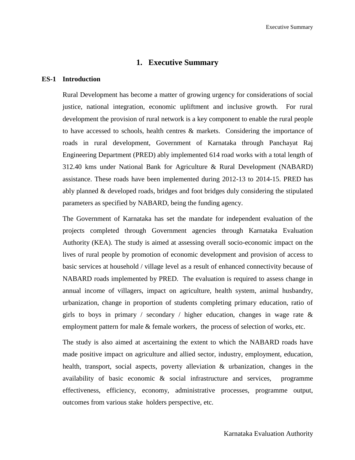# **1. Executive Summary**

#### **ES-1 Introduction**

Rural Development has become a matter of growing urgency for considerations of social justice, national integration, economic upliftment and inclusive growth. For rural development the provision of rural network is a key component to enable the rural people to have accessed to schools, health centres & markets. Considering the importance of roads in rural development, Government of Karnataka through Panchayat Raj Engineering Department (PRED) ably implemented 614 road works with a total length of 312.40 kms under National Bank for Agriculture & Rural Development (NABARD) assistance. These roads have been implemented during 2012-13 to 2014-15. PRED has ably planned & developed roads, bridges and foot bridges duly considering the stipulated parameters as specified by NABARD, being the funding agency.

The Government of Karnataka has set the mandate for independent evaluation of the projects completed through Government agencies through Karnataka Evaluation Authority (KEA). The study is aimed at assessing overall socio-economic impact on the lives of rural people by promotion of economic development and provision of access to basic services at household / village level as a result of enhanced connectivity because of NABARD roads implemented by PRED. The evaluation is required to assess change in annual income of villagers, impact on agriculture, health system, animal husbandry, urbanization, change in proportion of students completing primary education, ratio of girls to boys in primary / secondary / higher education, changes in wage rate  $\&$ employment pattern for male & female workers, the process of selection of works, etc.

The study is also aimed at ascertaining the extent to which the NABARD roads have made positive impact on agriculture and allied sector, industry, employment, education, health, transport, social aspects, poverty alleviation & urbanization, changes in the availability of basic economic & social infrastructure and services, programme effectiveness, efficiency, economy, administrative processes, programme output, outcomes from various stake holders perspective, etc.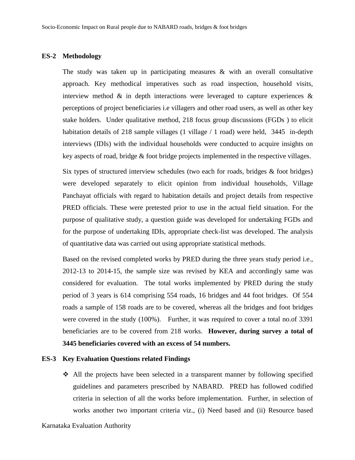#### **ES-2 Methodology**

The study was taken up in participating measures & with an overall consultative approach. Key methodical imperatives such as road inspection, household visits, interview method  $\&$  in depth interactions were leveraged to capture experiences  $\&$ perceptions of project beneficiaries i.e villagers and other road users, as well as other key stake holders. Under qualitative method, 218 focus group discussions (FGDs ) to elicit habitation details of 218 sample villages (1 village  $/1$  road) were held, 3445 in-depth interviews (IDIs) with the individual households were conducted to acquire insights on key aspects of road, bridge & foot bridge projects implemented in the respective villages.

Six types of structured interview schedules (two each for roads, bridges  $\&$  foot bridges) were developed separately to elicit opinion from individual households, Village Panchayat officials with regard to habitation details and project details from respective PRED officials. These were pretested prior to use in the actual field situation. For the purpose of qualitative study, a question guide was developed for undertaking FGDs and for the purpose of undertaking IDIs, appropriate check-list was developed. The analysis of quantitative data was carried out using appropriate statistical methods.

Based on the revised completed works by PRED during the three years study period i.e., 2012-13 to 2014-15, the sample size was revised by KEA and accordingly same was considered for evaluation. The total works implemented by PRED during the study period of 3 years is 614 comprising 554 roads, 16 bridges and 44 foot bridges. Of 554 roads a sample of 158 roads are to be covered, whereas all the bridges and foot bridges were covered in the study (100%). Further, it was required to cover a total no.of 3391 beneficiaries are to be covered from 218 works. **However, during survey a total of 3445 beneficiaries covered with an excess of 54 numbers.** 

#### **ES-3 Key Evaluation Questions related Findings**

❖ All the projects have been selected in a transparent manner by following specified guidelines and parameters prescribed by NABARD. PRED has followed codified criteria in selection of all the works before implementation. Further, in selection of works another two important criteria viz., (i) Need based and (ii) Resource based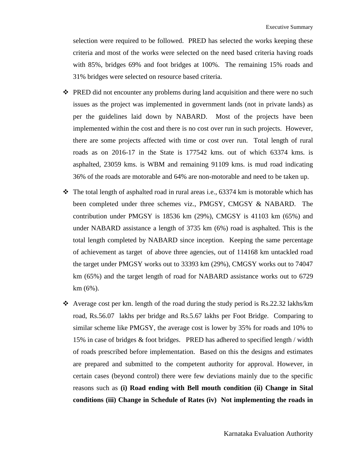selection were required to be followed. PRED has selected the works keeping these criteria and most of the works were selected on the need based criteria having roads with 85%, bridges 69% and foot bridges at 100%. The remaining 15% roads and 31% bridges were selected on resource based criteria.

- ❖ PRED did not encounter any problems during land acquisition and there were no such issues as the project was implemented in government lands (not in private lands) as per the guidelines laid down by NABARD. Most of the projects have been implemented within the cost and there is no cost over run in such projects. However, there are some projects affected with time or cost over run. Total length of rural roads as on 2016-17 in the State is 177542 kms. out of which 63374 kms. is asphalted, 23059 kms. is WBM and remaining 91109 kms. is mud road indicating 36% of the roads are motorable and 64% are non-motorable and need to be taken up.
- ❖ The total length of asphalted road in rural areas i.e., 63374 km is motorable which has been completed under three schemes viz., PMGSY, CMGSY & NABARD. The contribution under PMGSY is 18536 km (29%), CMGSY is 41103 km (65%) and under NABARD assistance a length of 3735 km (6%) road is asphalted. This is the total length completed by NABARD since inception. Keeping the same percentage of achievement as target of above three agencies, out of 114168 km untackled road the target under PMGSY works out to 33393 km (29%), CMGSY works out to 74047 km (65%) and the target length of road for NABARD assistance works out to 6729 km (6%).
- ◆ Average cost per km. length of the road during the study period is Rs.22.32 lakhs/km road, Rs.56.07 lakhs per bridge and Rs.5.67 lakhs per Foot Bridge. Comparing to similar scheme like PMGSY, the average cost is lower by 35% for roads and 10% to 15% in case of bridges & foot bridges. PRED has adhered to specified length / width of roads prescribed before implementation. Based on this the designs and estimates are prepared and submitted to the competent authority for approval. However, in certain cases (beyond control) there were few deviations mainly due to the specific reasons such as **(i) Road ending with Bell mouth condition (ii) Change in Sital conditions (iii) Change in Schedule of Rates (iv) Not implementing the roads in**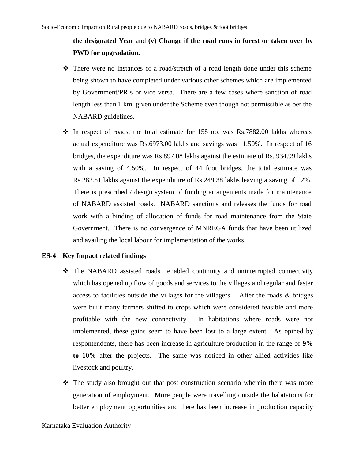# **the designated Year** and **(v) Change if the road runs in forest or taken over by PWD for upgradation.**

- ❖ There were no instances of a road/stretch of a road length done under this scheme being shown to have completed under various other schemes which are implemented by Government/PRIs or vice versa. There are a few cases where sanction of road length less than 1 km. given under the Scheme even though not permissible as per the NABARD guidelines.
- $\div$  In respect of roads, the total estimate for 158 no. was Rs.7882.00 lakhs whereas actual expenditure was Rs.6973.00 lakhs and savings was 11.50%. In respect of 16 bridges, the expenditure was Rs.897.08 lakhs against the estimate of Rs. 934.99 lakhs with a saving of 4.50%. In respect of 44 foot bridges, the total estimate was Rs.282.51 lakhs against the expenditure of Rs.249.38 lakhs leaving a saving of 12%. There is prescribed / design system of funding arrangements made for maintenance of NABARD assisted roads. NABARD sanctions and releases the funds for road work with a binding of allocation of funds for road maintenance from the State Government. There is no convergence of MNREGA funds that have been utilized and availing the local labour for implementation of the works.

### **ES-4 Key Impact related findings**

- ❖ The NABARD assisted roads enabled continuity and uninterrupted connectivity which has opened up flow of goods and services to the villages and regular and faster access to facilities outside the villages for the villagers. After the roads & bridges were built many farmers shifted to crops which were considered feasible and more profitable with the new connectivity. In habitations where roads were not implemented, these gains seem to have been lost to a large extent. As opined by respontendents, there has been increase in agriculture production in the range of **9% to 10%** after the projects. The same was noticed in other allied activities like livestock and poultry.
- ❖ The study also brought out that post construction scenario wherein there was more generation of employment. More people were travelling outside the habitations for better employment opportunities and there has been increase in production capacity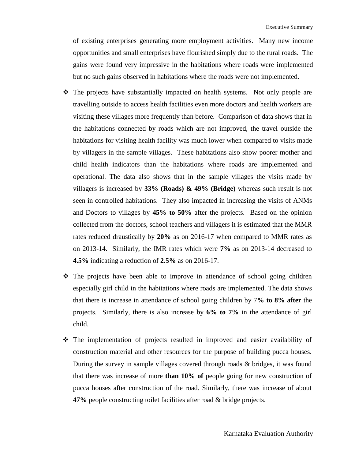of existing enterprises generating more employment activities. Many new income opportunities and small enterprises have flourished simply due to the rural roads. The gains were found very impressive in the habitations where roads were implemented but no such gains observed in habitations where the roads were not implemented.

- ❖ The projects have substantially impacted on health systems. Not only people are travelling outside to access health facilities even more doctors and health workers are visiting these villages more frequently than before. Comparison of data shows that in the habitations connected by roads which are not improved, the travel outside the habitations for visiting health facility was much lower when compared to visits made by villagers in the sample villages. These habitations also show poorer mother and child health indicators than the habitations where roads are implemented and operational. The data also shows that in the sample villages the visits made by villagers is increased by **33% (Roads) & 49% (Bridge)** whereas such result is not seen in controlled habitations. They also impacted in increasing the visits of ANMs and Doctors to villages by **45% to 50%** after the projects. Based on the opinion collected from the doctors, school teachers and villagers it is estimated that the MMR rates reduced draustically by **20%** as on 2016-17 when compared to MMR rates as on 2013-14. Similarly, the IMR rates which were **7%** as on 2013-14 decreased to **4.5%** indicating a reduction of **2.5%** as on 2016-17.
- ❖ The projects have been able to improve in attendance of school going children especially girl child in the habitations where roads are implemented. The data shows that there is increase in attendance of school going children by 7**% to 8% after** the projects. Similarly, there is also increase by **6% to 7%** in the attendance of girl child.
- ❖ The implementation of projects resulted in improved and easier availability of construction material and other resources for the purpose of building pucca houses. During the survey in sample villages covered through roads & bridges, it was found that there was increase of more **than 10% of** people going for new construction of pucca houses after construction of the road. Similarly, there was increase of about **47%** people constructing toilet facilities after road & bridge projects.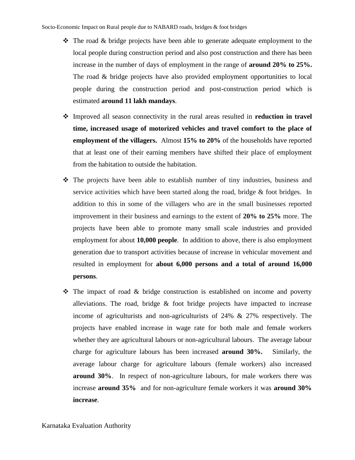- ❖ The road & bridge projects have been able to generate adequate employment to the local people during construction period and also post construction and there has been increase in the number of days of employment in the range of **around 20% to 25%.** The road & bridge projects have also provided employment opportunities to local people during the construction period and post-construction period which is estimated **around 11 lakh mandays**.
- ❖ Improved all season connectivity in the rural areas resulted in **reduction in travel time, increased usage of motorized vehicles and travel comfort to the place of employment of the villagers.** Almost **15% to 20%** of the households have reported that at least one of their earning members have shifted their place of employment from the habitation to outside the habitation.
- ❖ The projects have been able to establish number of tiny industries, business and service activities which have been started along the road, bridge  $\&$  foot bridges. In addition to this in some of the villagers who are in the small businesses reported improvement in their business and earnings to the extent of **20% to 25%** more. The projects have been able to promote many small scale industries and provided employment for about **10,000 people**. In addition to above, there is also employment generation due to transport activities because of increase in vehicular movement and resulted in employment for **about 6,000 persons and a total of around 16,000 persons**.
- ❖ The impact of road & bridge construction is established on income and poverty alleviations. The road, bridge  $\&$  foot bridge projects have impacted to increase income of agriculturists and non-agriculturists of 24% & 27% respectively. The projects have enabled increase in wage rate for both male and female workers whether they are agricultural labours or non-agricultural labours. The average labour charge for agriculture labours has been increased **around 30%.** Similarly, the average labour charge for agriculture labours (female workers) also increased **around 30%**. In respect of non-agriculture labours, for male workers there was increase **around 35%** and for non-agriculture female workers it was **around 30% increase**.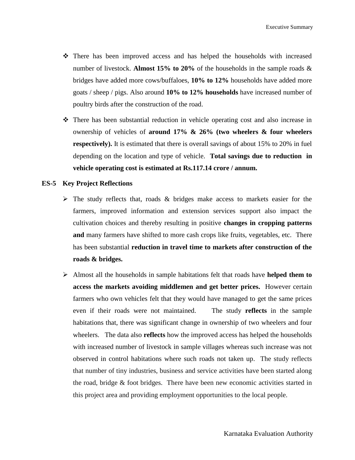- ❖ There has been improved access and has helped the households with increased number of livestock. **Almost 15% to 20%** of the households in the sample roads & bridges have added more cows/buffaloes, **10% to 12%** households have added more goats / sheep / pigs. Also around **10% to 12% households** have increased number of poultry birds after the construction of the road.
- ❖ There has been substantial reduction in vehicle operating cost and also increase in ownership of vehicles of **around 17% & 26% (two wheelers & four wheelers respectively).** It is estimated that there is overall savings of about 15% to 20% in fuel depending on the location and type of vehicle. **Total savings due to reduction in vehicle operating cost is estimated at Rs.117.14 crore / annum.**

### **ES-5 Key Project Reflections**

- $\triangleright$  The study reflects that, roads & bridges make access to markets easier for the farmers, improved information and extension services support also impact the cultivation choices and thereby resulting in positive **changes in cropping patterns and** many farmers have shifted to more cash crops like fruits, vegetables, etc. There has been substantial **reduction in travel time to markets after construction of the roads & bridges.**
- ➢ Almost all the households in sample habitations felt that roads have **helped them to access the markets avoiding middlemen and get better prices.** However certain farmers who own vehicles felt that they would have managed to get the same prices even if their roads were not maintained. The study **reflects** in the sample habitations that, there was significant change in ownership of two wheelers and four wheelers. The data also **reflects** how the improved access has helped the households with increased number of livestock in sample villages whereas such increase was not observed in control habitations where such roads not taken up. The study reflects that number of tiny industries, business and service activities have been started along the road, bridge & foot bridges. There have been new economic activities started in this project area and providing employment opportunities to the local people.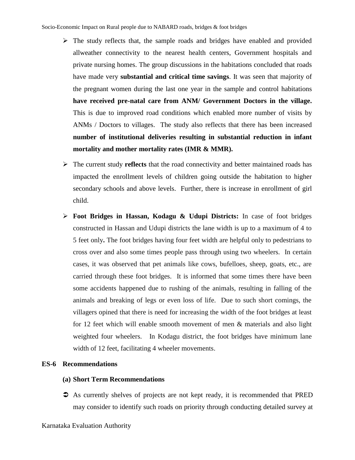- $\triangleright$  The study reflects that, the sample roads and bridges have enabled and provided allweather connectivity to the nearest health centers, Government hospitals and private nursing homes. The group discussions in the habitations concluded that roads have made very **substantial and critical time savings**. It was seen that majority of the pregnant women during the last one year in the sample and control habitations **have received pre-natal care from ANM/ Government Doctors in the village.** This is due to improved road conditions which enabled more number of visits by ANMs / Doctors to villages. The study also reflects that there has been increased **number of institutional deliveries resulting in substantial reduction in infant mortality and mother mortality rates (IMR & MMR).**
- ➢ The current study **reflects** that the road connectivity and better maintained roads has impacted the enrollment levels of children going outside the habitation to higher secondary schools and above levels. Further, there is increase in enrollment of girl child.
- ➢ **Foot Bridges in Hassan, Kodagu & Udupi Districts:** In case of foot bridges constructed in Hassan and Udupi districts the lane width is up to a maximum of 4 to 5 feet only**.** The foot bridges having four feet width are helpful only to pedestrians to cross over and also some times people pass through using two wheelers. In certain cases, it was observed that pet animals like cows, bufelloes, sheep, goats, etc., are carried through these foot bridges. It is informed that some times there have been some accidents happened due to rushing of the animals, resulting in falling of the animals and breaking of legs or even loss of life. Due to such short comings, the villagers opined that there is need for increasing the width of the foot bridges at least for 12 feet which will enable smooth movement of men & materials and also light weighted four wheelers. In Kodagu district, the foot bridges have minimum lane width of 12 feet, facilitating 4 wheeler movements.

# **ES-6 Recommendations**

## **(a) Short Term Recommendations**

 As currently shelves of projects are not kept ready, it is recommended that PRED may consider to identify such roads on priority through conducting detailed survey at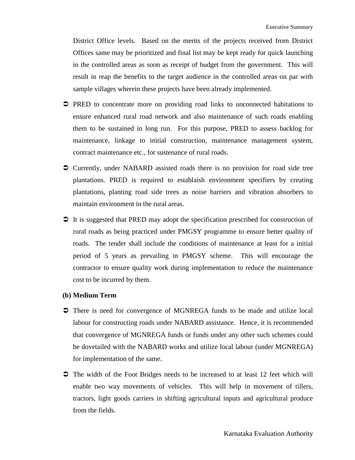District Office levels. Based on the merits of the projects received from District Offices same may be prioritized and final list may be kept ready for quick launching in the controlled areas as soon as receipt of budget from the government. This will result in reap the benefits to the target audience in the controlled areas on par with sample villages wherein these projects have been already implemented.

- PRED to concentrate more on providing road links to unconnected habitations to ensure enhanced rural road network and also maintenance of such roads enabling them to be sustained in long run. For this purpose, PRED to assess backlog for maintenance, linkage to initial construction, maintenance management system, contract maintenance etc., for sustenance of rural roads.
- Currently, under NABARD assisted roads there is no provision for road side tree plantations. PRED is required to establaish environment specifiers by creating plantations, planting road side trees as noise barriers and vibration absorbers to maintain environment in the rural areas.
- It is suggested that PRED may adopt the specification prescribed for construction of rural roads as being practiced under PMGSY programme to ensure better quality of roads. The tender shall include the conditions of maintenance at least for a initial period of 5 years as prevailing in PMGSY scheme. This will encourage the contractor to ensure quality work during implementation to reduce the maintenance cost to be incurred by them.

## **(b) Medium Term**

- There is need for convergence of MGNREGA funds to be made and utilize local labour for constructing roads under NABARD assistance. Hence, it is recommended that convergence of MGNREGA funds or funds under any other such schemes could be dovetailed with the NABARD works and utilize local labour (under MGNREGA) for implementation of the same.
- The width of the Foot Bridges needs to be increased to at least 12 feet which will enable two way movements of vehicles. This will help in movement of tillers, tractors, light goods carriers in shifting agricultural inputs and agricultural produce from the fields.